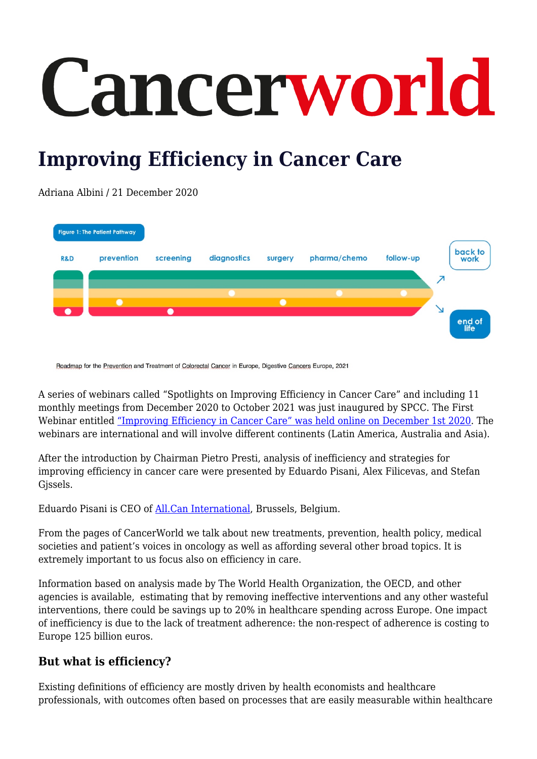# Cancerworld

## **Improving Efficiency in Cancer Care**

Adriana Albini / 21 December 2020

|                | <b>Figure 1: The Patient Pathway</b> |           |             |         |              |           |   | back to        |
|----------------|--------------------------------------|-----------|-------------|---------|--------------|-----------|---|----------------|
| <b>R&amp;D</b> | prevention                           | screening | diagnostics | surgery | pharma/chemo | follow-up |   | work           |
|                |                                      |           |             |         |              |           | ↗ |                |
|                |                                      |           |             |         |              |           |   |                |
|                |                                      |           |             |         |              |           |   |                |
|                |                                      |           |             |         |              |           |   |                |
|                |                                      |           |             |         |              |           |   | end of<br>life |

Roadmap for the Prevention and Treatment of Colorectal Cancer in Europe, Digestive Cancers Europe, 2021

A series of webinars called "Spotlights on Improving Efficiency in Cancer Care" and including 11 monthly meetings from December 2020 to October 2021 was just inaugured by SPCC. The First Webinar entitled ["Improving Efficiency in Cancer Care" was held online on December 1st 2020](https://www.spcc.net/en/projects/improving-efficiency-in-cancer-care%3a-education-programme-2019-2020-and-beyond/1-4987-0-). The webinars are international and will involve different continents (Latin America, Australia and Asia).

After the introduction by Chairman Pietro Presti, analysis of inefficiency and strategies for improving efficiency in cancer care were presented by Eduardo Pisani, Alex Filicevas, and Stefan Gjssels.

Eduardo Pisani is CEO of [All.Can International,](https://www.all-can.org/) Brussels, Belgium.

From the pages of CancerWorld we talk about new treatments, prevention, health policy, medical societies and patient's voices in oncology as well as affording several other broad topics. It is extremely important to us focus also on efficiency in care.

Information based on analysis made by The World Health Organization, the OECD, and other agencies is available, estimating that by removing ineffective interventions and any other wasteful interventions, there could be savings up to 20% in healthcare spending across Europe. One impact of inefficiency is due to the lack of treatment adherence: the non-respect of adherence is costing to Europe 125 billion euros.

### **But what is efficiency?**

Existing definitions of efficiency are mostly driven by health economists and healthcare professionals, with outcomes often based on processes that are easily measurable within healthcare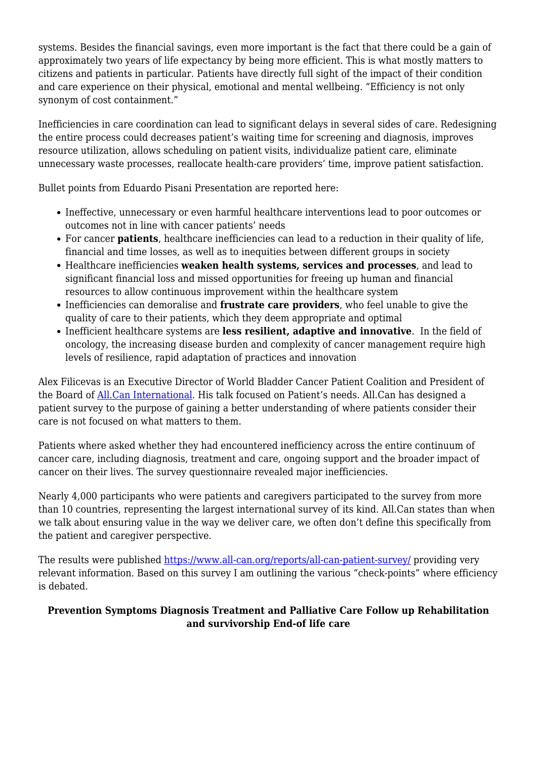systems. Besides the financial savings, even more important is the fact that there could be a gain of approximately two years of life expectancy by being more efficient. This is what mostly matters to citizens and patients in particular. Patients have directly full sight of the impact of their condition and care experience on their physical, emotional and mental wellbeing. "Efficiency is not only synonym of cost containment."

Inefficiencies in care coordination can lead to significant delays in several sides of care. Redesigning the entire process could decreases patient's waiting time for screening and diagnosis, improves resource utilization, allows scheduling on patient visits, individualize patient care, eliminate unnecessary waste processes, reallocate health-care providers' time, improve patient satisfaction.

Bullet points from Eduardo Pisani Presentation are reported here:

- Ineffective, unnecessary or even harmful healthcare interventions lead to poor outcomes or outcomes not in line with cancer patients' needs
- For cancer **patients**, healthcare inefficiencies can lead to a reduction in their quality of life, financial and time losses, as well as to inequities between different groups in society
- Healthcare inefficiencies **weaken health systems, services and processes**, and lead to significant financial loss and missed opportunities for freeing up human and financial resources to allow continuous improvement within the healthcare system
- Inefficiencies can demoralise and **frustrate care providers**, who feel unable to give the quality of care to their patients, which they deem appropriate and optimal
- Inefficient healthcare systems are **less resilient, adaptive and innovative**. In the field of oncology, the increasing disease burden and complexity of cancer management require high levels of resilience, rapid adaptation of practices and innovation

Alex Filicevas is an Executive Director of World Bladder Cancer Patient Coalition and President of the Board of [All.Can International](https://www.all-can.org/). His talk focused on Patient's needs. All.Can has designed a patient survey to the purpose of gaining a better understanding of where patients consider their care is not focused on what matters to them.

Patients where asked whether they had encountered inefficiency across the entire continuum of cancer care, including diagnosis, treatment and care, ongoing support and the broader impact of cancer on their lives. The survey questionnaire revealed major inefficiencies.

Nearly 4,000 participants who were patients and caregivers participated to the survey from more than 10 countries, representing the largest international survey of its kind. All.Can states than when we talk about ensuring value in the way we deliver care, we often don't define this specifically from the patient and caregiver perspective.

The results were published<https://www.all-can.org/reports/all-can-patient-survey/> providing very relevant information. Based on this survey I am outlining the various "check-points" where efficiency is debated.

#### **Prevention Symptoms Diagnosis Treatment and Palliative Care Follow up Rehabilitation and survivorship End-of life care**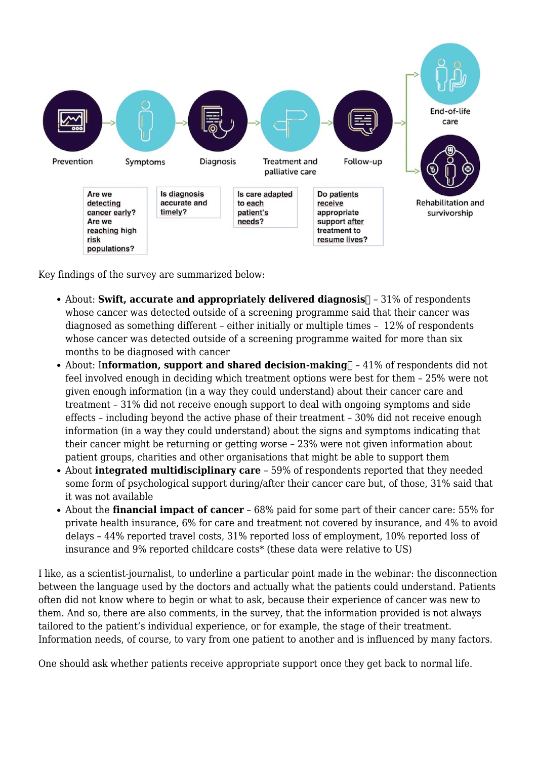

Key findings of the survey are summarized below:

- About: **Swift, accurate and appropriately delivered diagnosis**  $\Box$  31% of respondents whose cancer was detected outside of a screening programme said that their cancer was diagnosed as something different – either initially or multiple times – 12% of respondents whose cancer was detected outside of a screening programme waited for more than six months to be diagnosed with cancer
- About: Information, support and shared decision-making **1** 41% of respondents did not feel involved enough in deciding which treatment options were best for them – 25% were not given enough information (in a way they could understand) about their cancer care and treatment – 31% did not receive enough support to deal with ongoing symptoms and side effects – including beyond the active phase of their treatment – 30% did not receive enough information (in a way they could understand) about the signs and symptoms indicating that their cancer might be returning or getting worse – 23% were not given information about patient groups, charities and other organisations that might be able to support them
- About **integrated multidisciplinary care** 59% of respondents reported that they needed some form of psychological support during/after their cancer care but, of those, 31% said that it was not available
- About the **financial impact of cancer** 68% paid for some part of their cancer care: 55% for private health insurance, 6% for care and treatment not covered by insurance, and 4% to avoid delays – 44% reported travel costs, 31% reported loss of employment, 10% reported loss of insurance and 9% reported childcare costs\* (these data were relative to US)

I like, as a scientist-journalist, to underline a particular point made in the webinar: the disconnection between the language used by the doctors and actually what the patients could understand. Patients often did not know where to begin or what to ask, because their experience of cancer was new to them. And so, there are also comments, in the survey, that the information provided is not always tailored to the patient's individual experience, or for example, the stage of their treatment. Information needs, of course, to vary from one patient to another and is influenced by many factors.

One should ask whether patients receive appropriate support once they get back to normal life.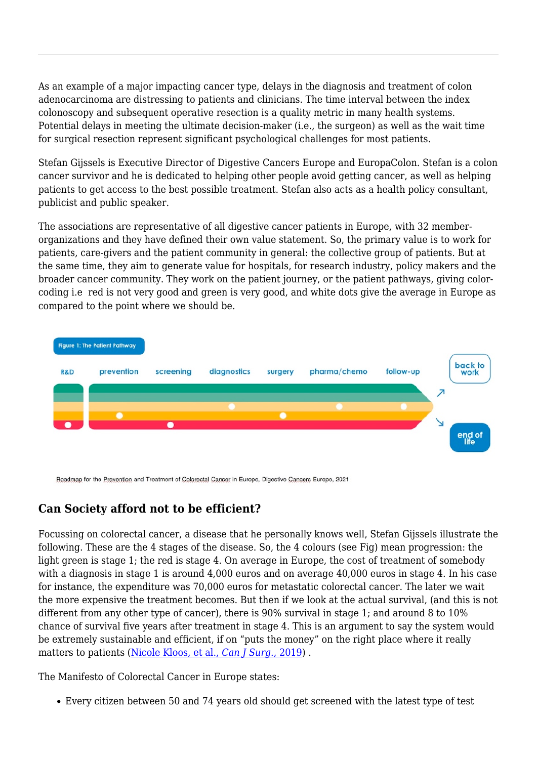As an example of a major impacting cancer type, delays in the diagnosis and treatment of colon adenocarcinoma are distressing to patients and clinicians. The time interval between the index colonoscopy and subsequent operative resection is a quality metric in many health systems. Potential delays in meeting the ultimate decision-maker (i.e., the surgeon) as well as the wait time for surgical resection represent significant psychological challenges for most patients.

Stefan Gijssels is Executive Director of Digestive Cancers Europe and EuropaColon. Stefan is a colon cancer survivor and he is dedicated to helping other people avoid getting cancer, as well as helping patients to get access to the best possible treatment. Stefan also acts as a health policy consultant, publicist and public speaker.

The associations are representative of all digestive cancer patients in Europe, with 32 memberorganizations and they have defined their own value statement. So, the primary value is to work for patients, care-givers and the patient community in general: the collective group of patients. But at the same time, they aim to generate value for hospitals, for research industry, policy makers and the broader cancer community. They work on the patient journey, or the patient pathways, giving colorcoding i.e red is not very good and green is very good, and white dots give the average in Europe as compared to the point where we should be.



Roadmap for the Prevention and Treatment of Colorectal Cancer in Europe, Digestive Cancers Europe, 2021

#### **Can Society afford not to be efficient?**

Focussing on colorectal cancer, a disease that he personally knows well, Stefan Gijssels illustrate the following. These are the 4 stages of the disease. So, the 4 colours (see Fig) mean progression: the light green is stage 1; the red is stage 4. On average in Europe, the cost of treatment of somebody with a diagnosis in stage 1 is around 4,000 euros and on average 40,000 euros in stage 4. In his case for instance, the expenditure was 70,000 euros for metastatic colorectal cancer. The later we wait the more expensive the treatment becomes. But then if we look at the actual survival, (and this is not different from any other type of cancer), there is 90% survival in stage 1; and around 8 to 10% chance of survival five years after treatment in stage 4. This is an argument to say the system would be extremely sustainable and efficient, if on "puts the money" on the right place where it really matters to patients [\(Nicole Kloos, et al.,](https://pubmed.ncbi.nlm.nih.gov/30694032/) *[Can J Surg](https://pubmed.ncbi.nlm.nih.gov/30694032/)*[., 2019](https://pubmed.ncbi.nlm.nih.gov/30694032/)) .

The Manifesto of Colorectal Cancer in Europe states:

Every citizen between 50 and 74 years old should get screened with the latest type of test